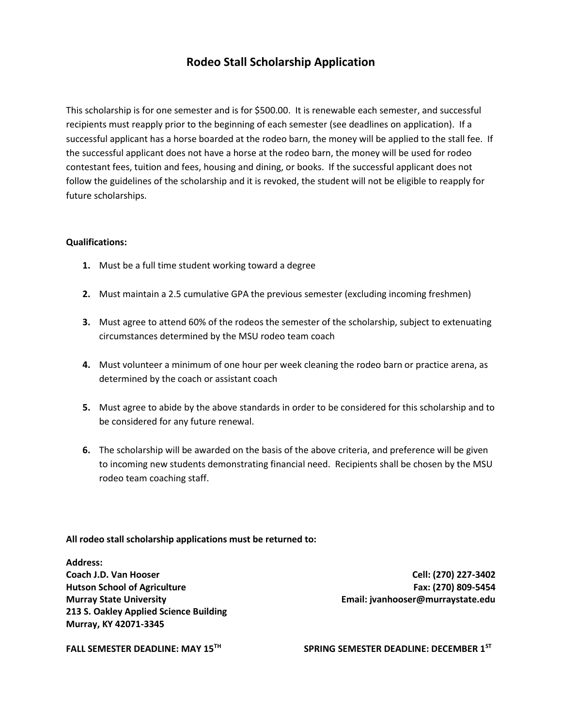## **Rodeo Stall Scholarship Application**

This scholarship is for one semester and is for \$500.00. It is renewable each semester, and successful recipients must reapply prior to the beginning of each semester (see deadlines on application). If a successful applicant has a horse boarded at the rodeo barn, the money will be applied to the stall fee. If the successful applicant does not have a horse at the rodeo barn, the money will be used for rodeo contestant fees, tuition and fees, housing and dining, or books. If the successful applicant does not follow the guidelines of the scholarship and it is revoked, the student will not be eligible to reapply for future scholarships.

### **Qualifications:**

- **1.** Must be a full time student working toward a degree
- **2.** Must maintain a 2.5 cumulative GPA the previous semester (excluding incoming freshmen)
- **3.** Must agree to attend 60% of the rodeos the semester of the scholarship, subject to extenuating circumstances determined by the MSU rodeo team coach
- **4.** Must volunteer a minimum of one hour per week cleaning the rodeo barn or practice arena, as determined by the coach or assistant coach
- **5.** Must agree to abide by the above standards in order to be considered for this scholarship and to be considered for any future renewal.
- **6.** The scholarship will be awarded on the basis of the above criteria, and preference will be given to incoming new students demonstrating financial need. Recipients shall be chosen by the MSU rodeo team coaching staff.

#### **All rodeo stall scholarship applications must be returned to:**

**Address: Coach J.D. Van Hooser Cell: (270) 227-3402 Hutson School of Agriculture Fax: (270) 809-5454 Murray State University Email: jvanhooser@murraystate.edu 213 S. Oakley Applied Science Building Murray, KY 42071-3345** 

**FALL SEMESTER DEADLINE: MAY 15TH SPRING SEMESTER DEADLINE: DECEMBER 1ST**